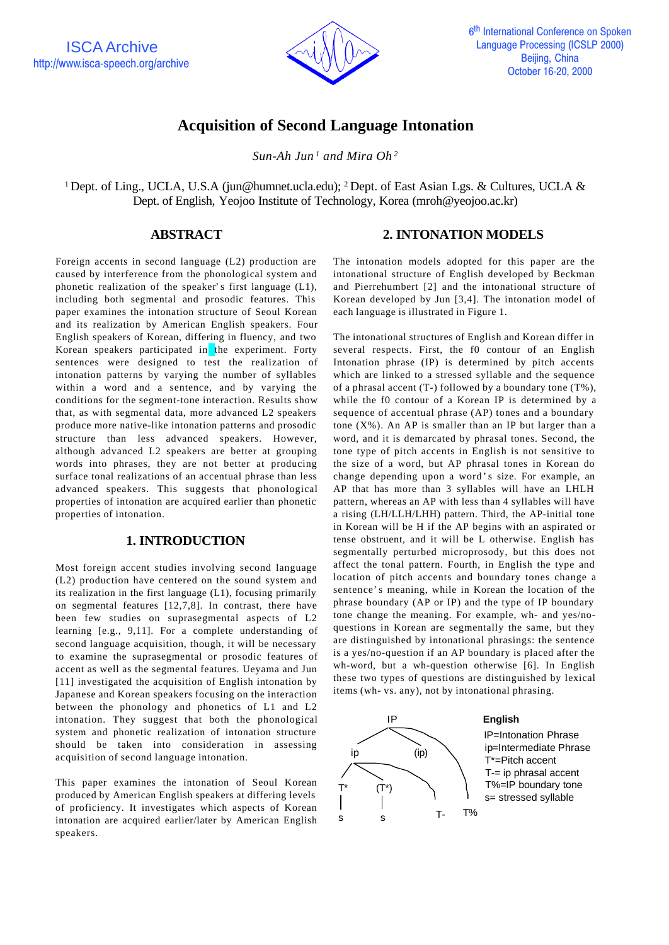

# **Acquisition of Second Language Intonation**

*Sun-Ah Jun <sup>1</sup> and Mira Oh <sup>2</sup>*

<sup>1</sup> Dept. of Ling., UCLA, U.S.A (jun@humnet.ucla.edu); <sup>2</sup> Dept. of East Asian Lgs. & Cultures, UCLA & Dept. of English, Yeojoo Institute of Technology, Korea (mroh@yeojoo.ac.kr)

# **ABSTRACT**

Foreign accents in second language (L2) production are caused by interference from the phonological system and phonetic realization of the speaker's first language (L1), including both segmental and prosodic features. This paper examines the intonation structure of Seoul Korean and its realization by American English speakers. Four English speakers of Korean, differing in fluency, and two Korean speakers participated in the experiment. Forty sentences were designed to test the realization of intonation patterns by varying the number of syllables within a word and a sentence, and by varying the conditions for the segment-tone interaction. Results show that, as with segmental data, more advanced L2 speakers produce more native-like intonation patterns and prosodic structure than less advanced speakers. However, although advanced L2 speakers are better at grouping words into phrases, they are not better at producing surface tonal realizations of an accentual phrase than less advanced speakers. This suggests that phonological properties of intonation are acquired earlier than phonetic properties of intonation.

# **1. INTRODUCTION**

Most foreign accent studies involving second language (L2) production have centered on the sound system and its realization in the first language (L1), focusing primarily on segmental features [12,7,8]. In contrast, there have been few studies on suprasegmental aspects of L2 learning [e.g., 9,11]. For a complete understanding of second language acquisition, though, it will be necessary to examine the suprasegmental or prosodic features of accent as well as the segmental features. Ueyama and Jun [11] investigated the acquisition of English intonation by Japanese and Korean speakers focusing on the interaction between the phonology and phonetics of L1 and L2 intonation. They suggest that both the phonological system and phonetic realization of intonation structure should be taken into consideration in assessing acquisition of second language intonation.

This paper examines the intonation of Seoul Korean produced by American English speakers at differing levels of proficiency. It investigates which aspects of Korean intonation are acquired earlier/later by American English speakers.

# **2. INTONATION MODELS**

The intonation models adopted for this paper are the intonational structure of English developed by Beckman and Pierrehumbert [2] and the intonational structure of Korean developed by Jun [3,4]. The intonation model of each language is illustrated in Figure 1.

The intonational structures of English and Korean differ in several respects. First, the f0 contour of an English Intonation phrase (IP) is determined by pitch accents which are linked to a stressed syllable and the sequence of a phrasal accent  $(T-)$  followed by a boundary tone  $(T\%)$ , while the f0 contour of a Korean IP is determined by a sequence of accentual phrase (AP) tones and a boundary tone  $(X\%)$ . An AP is smaller than an IP but larger than a word, and it is demarcated by phrasal tones. Second, the tone type of pitch accents in English is not sensitive to the size of a word, but AP phrasal tones in Korean do change depending upon a word 's size. For example, an AP that has more than 3 syllables will have an LHLH pattern, whereas an AP with less than 4 syllables will have a rising (LH/LLH/LHH) pattern. Third, the AP-initial tone in Korean will be H if the AP begins with an aspirated or tense obstruent, and it will be L otherwise. English has segmentally perturbed microprosody, but this does not affect the tonal pattern. Fourth, in English the type and location of pitch accents and boundary tones change a sentence's meaning, while in Korean the location of the phrase boundary (AP or IP) and the type of IP boundary tone change the meaning. For example, wh- and yes/noquestions in Korean are segmentally the same, but they are distinguished by intonational phrasings: the sentence is a yes/no-question if an AP boundary is placed after the wh-word, but a wh-question otherwise [6]. In English these two types of questions are distinguished by lexical items (wh- vs. any), not by intonational phrasing.

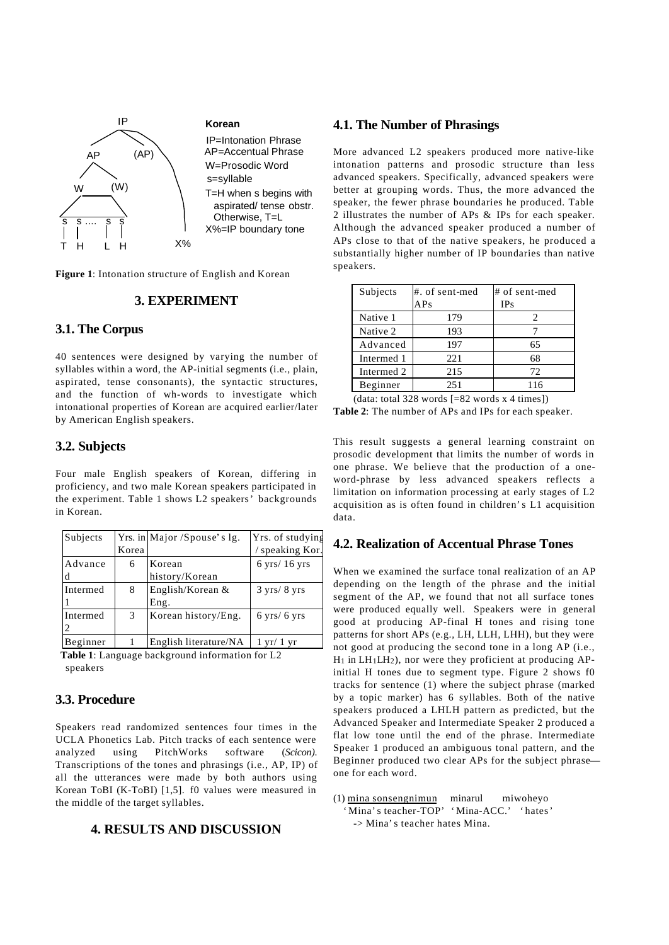

**Figure 1**: Intonation structure of English and Korean

# **3. EXPERIMENT**

# **3.1. The Corpus**

40 sentences were designed by varying the number of syllables within a word, the AP-initial segments (i.e., plain, aspirated, tense consonants), the syntactic structures, and the function of wh-words to investigate which intonational properties of Korean are acquired earlier/later by American English speakers.

#### **3.2. Subjects**

Four male English speakers of Korean, differing in proficiency, and two male Korean speakers participated in the experiment. Table 1 shows L2 speakers' backgrounds in Korean.

| Subjects     |       | Yrs. in Major /Spouse's lg. | Yrs. of studying                 |
|--------------|-------|-----------------------------|----------------------------------|
|              | Korea |                             | speaking Kor.                    |
| Advance<br>d | 6     | Korean<br>history/Korean    | $6 \text{ yrs} / 16 \text{ yrs}$ |
| Intermed     | 8     | English/Korean $&$<br>Eng.  | $3 \text{ yrs} / 8 \text{ yrs}$  |
| Intermed     | 3     | Korean history/Eng.         | $6 \text{ yrs} / 6 \text{ yrs}$  |
| Beginner     |       | English literature/NA       | $1 \text{ yr}/1 \text{ yr}$      |

**Table 1**: Language background information for L2 speakers

### **3.3. Procedure**

Speakers read randomized sentences four times in the UCLA Phonetics Lab. Pitch tracks of each sentence were analyzed using PitchWorks software (*Scicon)*. Transcriptions of the tones and phrasings (i.e., AP, IP) of all the utterances were made by both authors using Korean ToBI (K-ToBI) [1,5]. f0 values were measured in the middle of the target syllables.

# **4. RESULTS AND DISCUSSION**

# **4.1. The Number of Phrasings**

More advanced L2 speakers produced more native-like intonation patterns and prosodic structure than less advanced speakers. Specifically, advanced speakers were better at grouping words. Thus, the more advanced the speaker, the fewer phrase boundaries he produced. Table 2 illustrates the number of APs & IPs for each speaker. Although the advanced speaker produced a number of APs close to that of the native speakers, he produced a substantially higher number of IP boundaries than native speakers.

| Subjects                                        | #. of sent-med | # of sent-med |  |  |
|-------------------------------------------------|----------------|---------------|--|--|
|                                                 | APs            | IPs           |  |  |
| Native 1                                        | 179            | 2             |  |  |
| Native 2                                        | 193            |               |  |  |
| Advanced                                        | 197            | 65            |  |  |
| Intermed 1                                      | 221            | 68            |  |  |
| Intermed 2                                      | 215            | 72            |  |  |
| Beginner                                        | 251            | 116           |  |  |
| (data: total 328 words $[=82$ words x 4 times]) |                |               |  |  |

**Table 2**: The number of APs and IPs for each speaker.

This result suggests a general learning constraint on prosodic development that limits the number of words in one phrase. We believe that the production of a oneword-phrase by less advanced speakers reflects a limitation on information processing at early stages of L2 acquisition as is often found in children's L1 acquisition data.

### **4.2. Realization of Accentual Phrase Tones**

When we examined the surface tonal realization of an AP depending on the length of the phrase and the initial segment of the AP, we found that not all surface tones were produced equally well. Speakers were in general good at producing AP-final H tones and rising tone patterns for short APs (e.g., LH, LLH, LHH), but they were not good at producing the second tone in a long AP (i.e.,  $H_1$  in LH<sub>1</sub>LH<sub>2</sub>), nor were they proficient at producing APinitial H tones due to segment type. Figure 2 shows f0 tracks for sentence (1) where the subject phrase (marked by a topic marker) has 6 syllables. Both of the native speakers produced a LHLH pattern as predicted, but the Advanced Speaker and Intermediate Speaker 2 produced a flat low tone until the end of the phrase. Intermediate Speaker 1 produced an ambiguous tonal pattern, and the Beginner produced two clear APs for the subject phrase one for each word.

(1) mina sonsengnimun minarul miwoheyo 'Mina's teacher-TOP' 'Mina-ACC.' 'hates ' -> Mina's teacher hates Mina.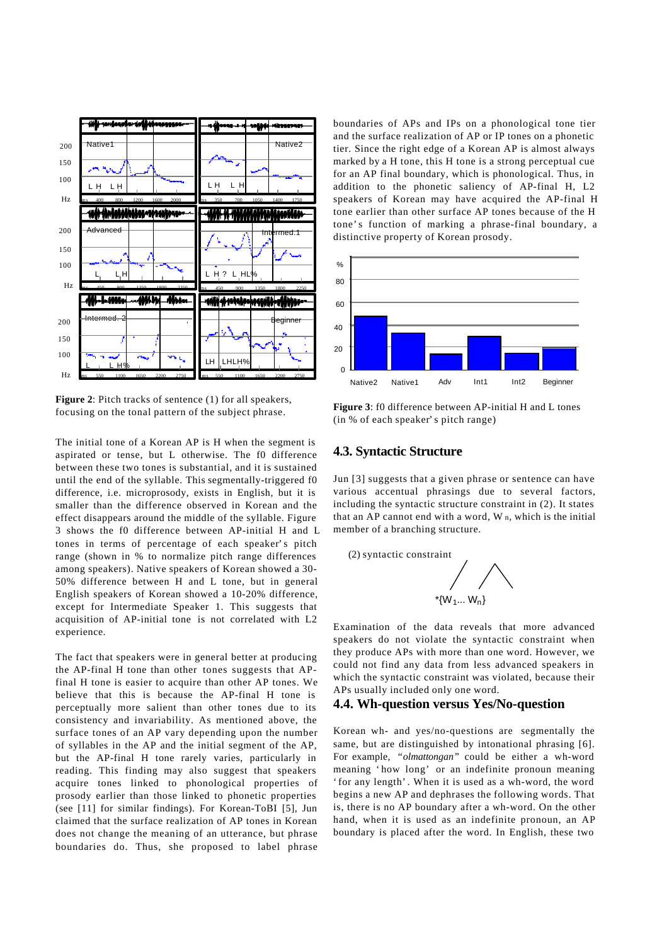

**Figure 2**: Pitch tracks of sentence (1) for all speakers, focusing on the tonal pattern of the subject phrase.

The initial tone of a Korean AP is H when the segment is aspirated or tense, but L otherwise. The f0 difference between these two tones is substantial, and it is sustained until the end of the syllable. This segmentally-triggered f0 difference, i.e. microprosody, exists in English, but it is smaller than the difference observed in Korean and the effect disappears around the middle of the syllable. Figure 3 shows the f0 difference between AP-initial H and L tones in terms of percentage of each speaker's pitch range (shown in % to normalize pitch range differences among speakers). Native speakers of Korean showed a 30- 50% difference between H and L tone, but in general English speakers of Korean showed a 10-20% difference, except for Intermediate Speaker 1. This suggests that acquisition of AP-initial tone is not correlated with L2 experience.

The fact that speakers were in general better at producing the AP-final H tone than other tones suggests that APfinal H tone is easier to acquire than other AP tones. We believe that this is because the AP-final H tone is perceptually more salient than other tones due to its consistency and invariability. As mentioned above, the surface tones of an AP vary depending upon the number of syllables in the AP and the initial segment of the AP, but the AP-final H tone rarely varies, particularly in reading. This finding may also suggest that speakers acquire tones linked to phonological properties of prosody earlier than those linked to phonetic properties (see [11] for similar findings). For Korean-ToBI [5], Jun claimed that the surface realization of AP tones in Korean does not change the meaning of an utterance, but phrase boundaries do. Thus, she proposed to label phrase

boundaries of APs and IPs on a phonological tone tier and the surface realization of AP or IP tones on a phonetic tier. Since the right edge of a Korean AP is almost always marked by a H tone, this H tone is a strong perceptual cue for an AP final boundary, which is phonological. Thus, in addition to the phonetic saliency of AP-final H, L2 speakers of Korean may have acquired the AP-final H tone earlier than other surface AP tones because of the H tone's function of marking a phrase-final boundary, a distinctive property of Korean prosody.



**Figure 3**: f0 difference between AP-initial H and L tones (in % of each speaker's pitch range)

#### **4.3. Syntactic Structure**

Jun [3] suggests that a given phrase or sentence can have various accentual phrasings due to several factors, including the syntactic structure constraint in (2). It states that an AP cannot end with a word, W n, which is the initial member of a branching structure.



Examination of the data reveals that more advanced speakers do not violate the syntactic constraint when they produce APs with more than one word. However, we could not find any data from less advanced speakers in which the syntactic constraint was violated, because their APs usually included only one word.

#### **4.4. Wh-question versus Yes/No-question**

Korean wh- and yes/no-questions are segmentally the same, but are distinguished by intonational phrasing [6]. For example, "*olmattongan"* could be either a wh-word meaning 'how long' or an indefinite pronoun meaning 'for any length'. When it is used as a wh-word, the word begins a new AP and dephrases the following words. That is, there is no AP boundary after a wh-word. On the other hand, when it is used as an indefinite pronoun, an AP boundary is placed after the word. In English, these two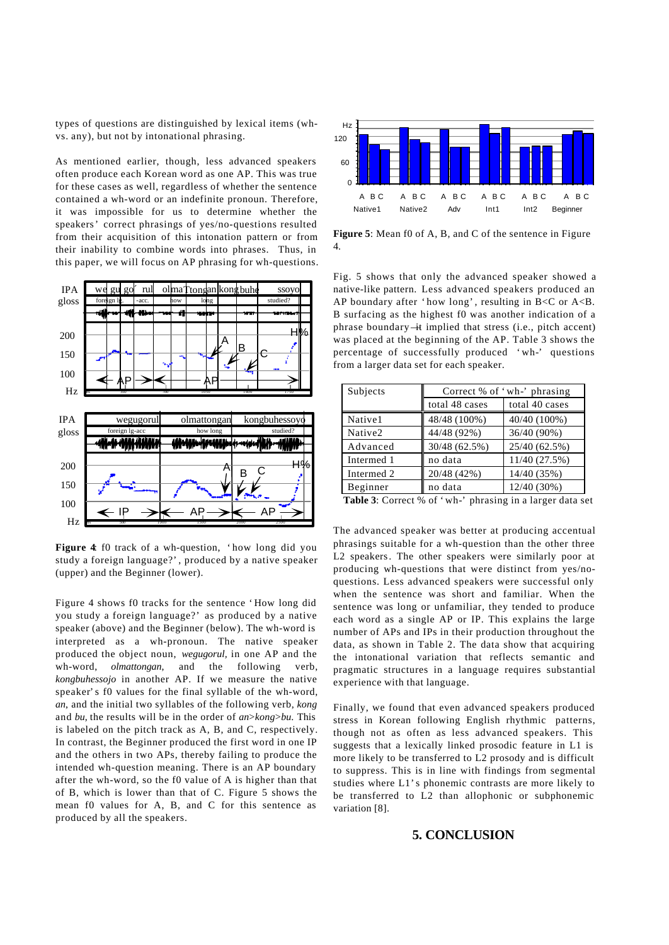types of questions are distinguished by lexical items (whvs. any), but not by intonational phrasing.

As mentioned earlier, though, less advanced speakers often produce each Korean word as one AP. This was true for these cases as well, regardless of whether the sentence contained a wh-word or an indefinite pronoun. Therefore, it was impossible for us to determine whether the speakers' correct phrasings of yes/no-questions resulted from their acquisition of this intonation pattern or from their inability to combine words into phrases. Thus, in this paper, we will focus on AP phrasing for wh-questions.



**Figure 4**: f0 track of a wh-question, 'how long did you study a foreign language?', produced by a native speaker (upper) and the Beginner (lower).

Figure 4 shows f0 tracks for the sentence 'How long did you study a foreign language?' as produced by a native speaker (above) and the Beginner (below). The wh-word is interpreted as a wh-pronoun. The native speaker produced the object noun, *wegugorul,* in one AP and the wh-word, *olmattongan*, and the following verb, *kongbuhessojo* in another AP. If we measure the native speaker's f0 values for the final syllable of the wh-word, *an*, and the initial two syllables of the following verb, *kong* and *bu*, the results will be in the order of *an*>*kong*>*bu*. This is labeled on the pitch track as A, B, and C, respectively. In contrast, the Beginner produced the first word in one IP and the others in two APs, thereby failing to produce the intended wh-question meaning. There is an AP boundary after the wh-word, so the f0 value of A is higher than that of B, which is lower than that of C. Figure 5 shows the mean f0 values for A, B, and C for this sentence as produced by all the speakers.



**Figure 5**: Mean f0 of A, B, and C of the sentence in Figure 4.

Fig. 5 shows that only the advanced speaker showed a native-like pattern. Less advanced speakers produced an AP boundary after 'how long', resulting in B<C or A<B. B surfacing as the highest f0 was another indication of a phrase boundary —it implied that stress (i.e., pitch accent) was placed at the beginning of the AP. Table 3 shows the percentage of successfully produced 'wh-' questions from a larger data set for each speaker.

| Subjects   | Correct % of 'wh-' phrasing |                |
|------------|-----------------------------|----------------|
|            | total 48 cases              | total 40 cases |
| Native1    | 48/48 (100%)                | 40/40 (100%)   |
| Native2    | 44/48 (92%)                 | 36/40 (90%)    |
| Advanced   | 30/48 (62.5%)               | 25/40 (62.5%)  |
| Intermed 1 | no data                     | 11/40 (27.5%)  |
| Intermed 2 | 20/48 (42%)                 | 14/40 (35%)    |
| Beginner   | no data                     | 12/40 (30%)    |

**Table 3**: Correct % of 'wh-' phrasing in a larger data set

The advanced speaker was better at producing accentual phrasings suitable for a wh-question than the other three L2 speakers. The other speakers were similarly poor at producing wh-questions that were distinct from yes/noquestions. Less advanced speakers were successful only when the sentence was short and familiar. When the sentence was long or unfamiliar, they tended to produce each word as a single AP or IP. This explains the large number of APs and IPs in their production throughout the data, as shown in Table 2. The data show that acquiring the intonational variation that reflects semantic and pragmatic structures in a language requires substantial experience with that language.

Finally, we found that even advanced speakers produced stress in Korean following English rhythmic patterns, though not as often as less advanced speakers. This suggests that a lexically linked prosodic feature in L1 is more likely to be transferred to L2 prosody and is difficult to suppress. This is in line with findings from segmental studies where L1's phonemic contrasts are more likely to be transferred to L2 than allophonic or subphonemic variation [8].

### **5. CONCLUSION**